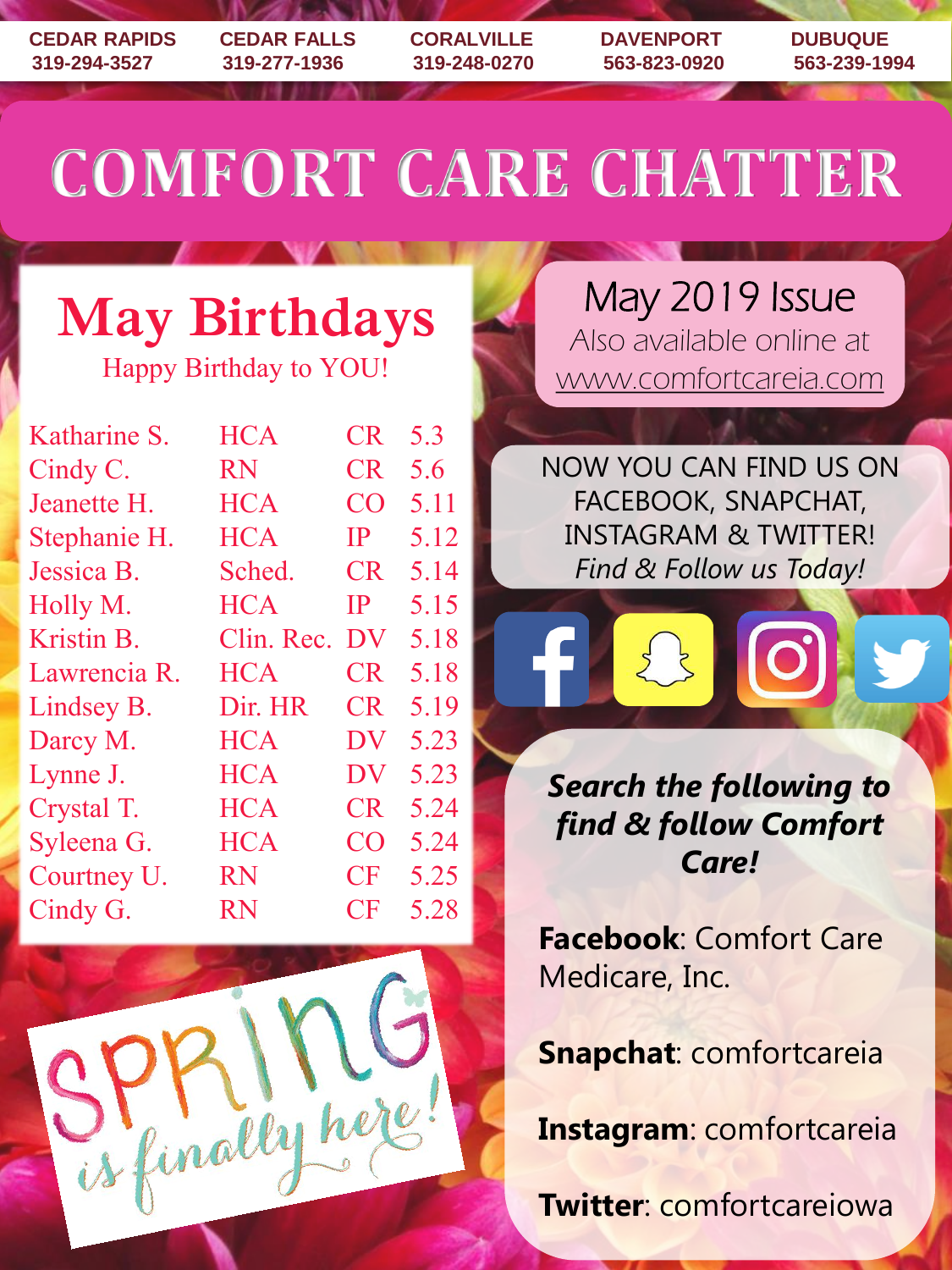**CEDAR RAPIDS CEDAR FALLS CORALVILLE DAVENPORT DUBUQUE 319-294-3527 319-277-1936 319-248-0270 563-823-0920 563-239-1994**

# **COMFORT CARE CHATTER**

# **May Birthdays**

Happy Birthday to YOU!

| Katharine S. | <b>HCA</b> | <b>CR</b> | 5.3  |
|--------------|------------|-----------|------|
| Cindy C.     | <b>RN</b>  | <b>CR</b> | 5.6  |
| Jeanette H.  | <b>HCA</b> | CO        | 5.11 |
| Stephanie H. | <b>HCA</b> | <b>IP</b> | 5.12 |
| Jessica B.   | Sched.     | <b>CR</b> | 5.14 |
| Holly M.     | <b>HCA</b> | IP        | 5.15 |
| Kristin B.   | Clin. Rec. | <b>DV</b> | 5.18 |
| Lawrencia R. | <b>HCA</b> | <b>CR</b> | 5.18 |
| Lindsey B.   | Dir. HR    | <b>CR</b> | 5.19 |
| Darcy M.     | <b>HCA</b> | <b>DV</b> | 5.23 |
| Lynne J.     | <b>HCA</b> | <b>DV</b> | 5.23 |
| Crystal T.   | <b>HCA</b> | <b>CR</b> | 5.24 |
| Syleena G.   | <b>HCA</b> | CO        | 5.24 |
| Courtney U.  | <b>RN</b>  | CF        | 5.25 |
| Cindy G.     | <b>RN</b>  | <b>CF</b> | 5.28 |
|              |            |           |      |



May 2019 Issue Also available online at www.comfortcareia.com

NOW YOU CAN FIND US ON FACEBOOK, SNAPCHAT, INSTAGRAM & TWITTER! *Find & Follow us Today!*



*Search the following to find & follow Comfort Care!*

**Facebook**: Comfort Care Medicare, Inc.

**Snapchat**: comfortcareia

**Instagram**: comfortcareia

**Twitter**: comfortcareiowa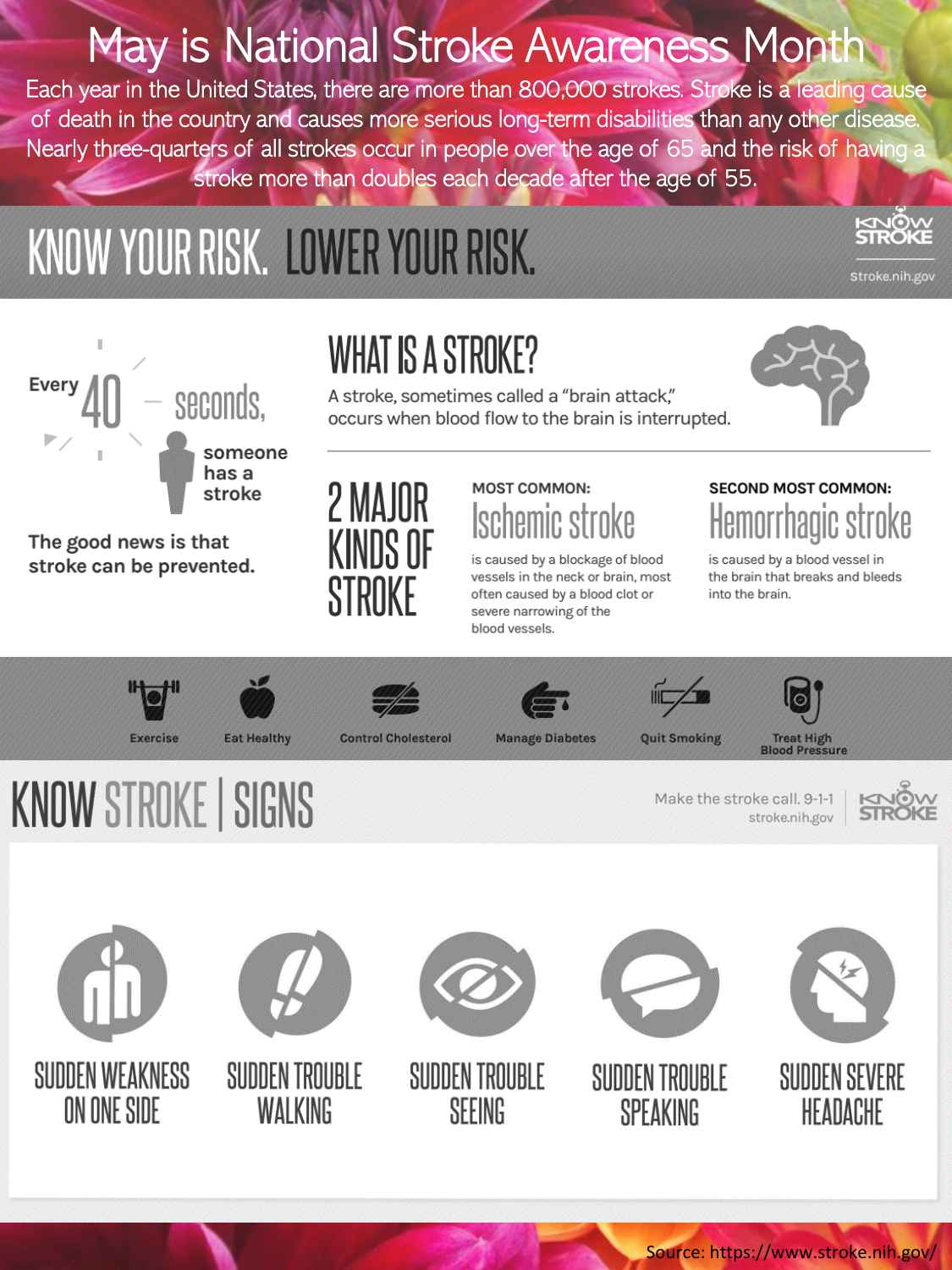## May is National Stroke Awareness Month

Each year in the United States, there are more than 800,000 strokes. Stroke is a leading cause of death in the country and causes more serious long-term disabilities than any other disease. Nearly three-quarters of all strokes occur in people over the age of 65 and the risk of having a stroke more than doubles each decade after the age of 55.

# KNOW YOUR RISK. LOWER YOUR RISK.



The good news is that stroke can be prevented.



## WHAT IS A STROKE?

A stroke, sometimes called a "brain attack." occurs when blood flow to the brain is interrupted.



Stroke.nih.gov

### **MOST COMMON:** hemic st

is caused by a blockage of blood vessels in the neck or brain, most often caused by a blood clot or severe narrowing of the blood vessels.

### **SECOND MOST COMMON:** hagic s

is caused by a blood vessel in the brain that breaks and bleeds into the brain.



**KNOW STROKE | SIGNS** 









**Control Cholesterol** 



**Manage Diabetes** 





Make the stroke call. 9-1-1 stroke.nih.gov











SUDDEN TROUBLE SEEING



SUDDEN TROUBLE SPEAKING